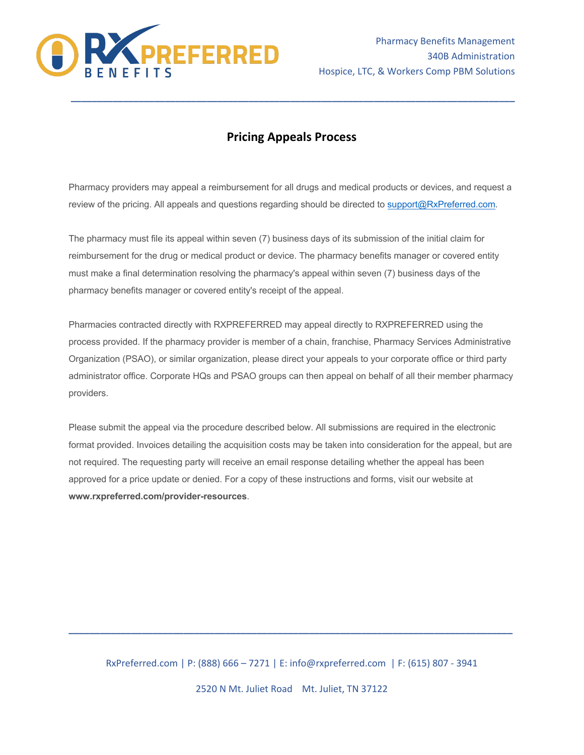

## **Pricing Appeals Process**

**\_\_\_\_\_\_\_\_\_\_\_\_\_\_\_\_\_\_\_\_\_\_\_\_\_\_\_\_\_\_\_\_\_\_\_\_\_\_\_\_\_\_\_\_\_\_\_\_\_\_\_\_\_\_\_\_\_\_\_\_\_\_\_\_\_\_\_\_\_\_\_\_\_\_\_\_\_\_\_\_\_\_\_\_\_**

Pharmacy providers may appeal a reimbursement for all drugs and medical products or devices, and request a review of the pricing. All appeals and questions regarding should be directed to support@RxPreferred.com.

The pharmacy must file its appeal within seven (7) business days of its submission of the initial claim for reimbursement for the drug or medical product or device. The pharmacy benefits manager or covered entity must make a final determination resolving the pharmacy's appeal within seven (7) business days of the pharmacy benefits manager or covered entity's receipt of the appeal.

Pharmacies contracted directly with RXPREFERRED may appeal directly to RXPREFERRED using the process provided. If the pharmacy provider is member of a chain, franchise, Pharmacy Services Administrative Organization (PSAO), or similar organization, please direct your appeals to your corporate office or third party administrator office. Corporate HQs and PSAO groups can then appeal on behalf of all their member pharmacy providers.

Please submit the appeal via the procedure described below. All submissions are required in the electronic format provided. Invoices detailing the acquisition costs may be taken into consideration for the appeal, but are not required. The requesting party will receive an email response detailing whether the appeal has been approved for a price update or denied. For a copy of these instructions and forms, visit our website at **www.rxpreferred.com/provider-resources**.

RxPreferred.com | P: (888) 666 – 7271 | E: info@rxpreferred.com | F: (615) 807 - 3941

**\_\_\_\_\_\_\_\_\_\_\_\_\_\_\_\_\_\_\_\_\_\_\_\_\_\_\_\_\_\_\_\_\_\_\_\_\_\_\_\_\_\_\_\_\_\_\_\_\_\_\_\_\_\_\_\_\_\_\_\_\_\_\_\_\_\_\_\_\_\_\_\_\_\_\_\_\_\_\_\_\_\_\_\_\_**

2520 N Mt. Juliet Road Mt. Juliet, TN 37122